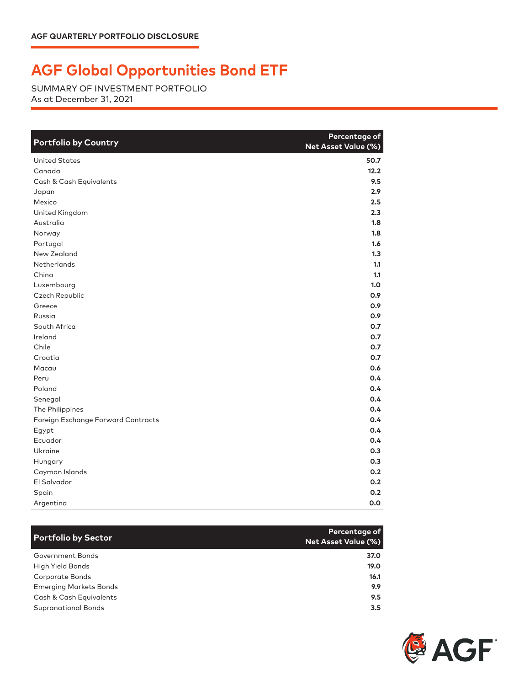## **AGF Global Opportunities Bond ETF**

SUMMARY OF INVESTMENT PORTFOLIO As at December 31, 2021

| <b>Portfolio by Country</b>        | Percentage of<br>Net Asset Value (%) |
|------------------------------------|--------------------------------------|
| <b>United States</b>               | 50.7                                 |
| Canada                             | 12.2                                 |
| Cash & Cash Equivalents            | 9.5                                  |
| Japan                              | 2.9                                  |
| Mexico                             | 2.5                                  |
| United Kingdom                     | 2.3                                  |
| Australia                          | 1.8                                  |
| Norway                             | 1.8                                  |
| Portugal                           | 1.6                                  |
| New Zealand                        | 1.3                                  |
| Netherlands                        | 1.1                                  |
| China                              | 1.1                                  |
| Luxembourg                         | 1.0                                  |
| Czech Republic                     | 0.9                                  |
| Greece                             | 0.9                                  |
| Russia                             | 0.9                                  |
| South Africa                       | 0.7                                  |
| Ireland                            | 0.7                                  |
| Chile                              | 0.7                                  |
| Croatia                            | 0.7                                  |
| Macau                              | 0.6                                  |
| Peru                               | 0.4                                  |
| Poland                             | 0.4                                  |
| Senegal                            | 0.4                                  |
| The Philippines                    | 0.4                                  |
| Foreign Exchange Forward Contracts | 0.4                                  |
| Egypt                              | 0.4                                  |
| Ecuador                            | 0.4                                  |
| <b>Ukraine</b>                     | 0.3                                  |
| Hungary                            | 0.3                                  |
| Cayman Islands                     | 0.2                                  |
| El Salvador                        | 0.2                                  |
| Spain                              | 0.2                                  |
| Argentina                          | 0.0                                  |

| <b>Portfolio by Sector</b>    | Percentage of<br><b>Net Asset Value (%)</b> |
|-------------------------------|---------------------------------------------|
| Government Bonds              | 37.0                                        |
| High Yield Bonds              | 19.0                                        |
| Corporate Bonds               | 16.1                                        |
| <b>Emerging Markets Bonds</b> | 9.9                                         |
| Cash & Cash Equivalents       | 9.5                                         |
| <b>Supranational Bonds</b>    | $3.5^{\circ}$                               |

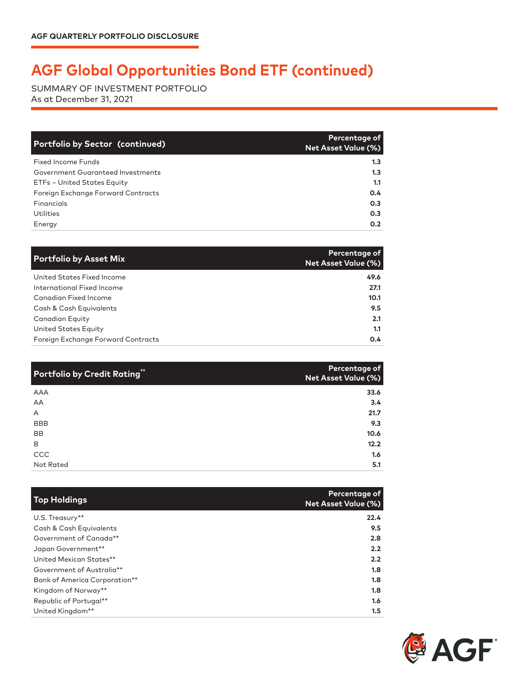## **AGF Global Opportunities Bond ETF (continued)**

SUMMARY OF INVESTMENT PORTFOLIO As at December 31, 2021

| <b>Portfolio by Sector (continued)</b> | Percentage of<br><b>Net Asset Value (%)</b> |
|----------------------------------------|---------------------------------------------|
| Fixed Income Funds                     | 1.3 <sub>1</sub>                            |
| Government Guaranteed Investments      | 1.3 <sub>1</sub>                            |
| ETFs - United States Equity            | 1.1                                         |
| Foreign Exchange Forward Contracts     | 0.4                                         |
| Financials                             | 0.3                                         |
| Utilities                              | 0.3                                         |
| Energy                                 | 0.2                                         |

| <b>Portfolio by Asset Mix</b>      | Percentage of<br><b>Net Asset Value (%)</b> |
|------------------------------------|---------------------------------------------|
| United States Fixed Income         | 49.6                                        |
| International Fixed Income         | 27.1                                        |
| Canadian Fixed Income              | 10.1                                        |
| Cash & Cash Equivalents            | 9.5                                         |
| Canadian Equity                    | 2.1                                         |
| United States Equity               | 1.1                                         |
| Foreign Exchange Forward Contracts | 0.4                                         |

| Portfolio by Credit Rating" | Percentage of<br>Net Asset Value (%) |
|-----------------------------|--------------------------------------|
| AAA                         | 33.6                                 |
| AA                          | 3.4                                  |
| A                           | 21.7                                 |
| <b>BBB</b>                  | 9.3                                  |
| BB                          | 10.6                                 |
| B                           | 12.2                                 |
| CCC                         | 1.6                                  |
| Not Rated                   | 5.1                                  |

| <b>Top Holdings</b>           | Percentage of<br><b>Net Asset Value (%)</b> |
|-------------------------------|---------------------------------------------|
| U.S. Treasury**               | 22.4                                        |
| Cash & Cash Equivalents       | 9.5                                         |
| Government of Canada**        | 2.8                                         |
| Japan Government**            | 2.2                                         |
| United Mexican States**       | 2.2                                         |
| Government of Australia**     | 1.8                                         |
| Bank of America Corporation** | 1.8                                         |
| Kingdom of Norway**           | 1.8                                         |
| Republic of Portugal**        | 1.6                                         |
| United Kingdom**              | 1.5                                         |